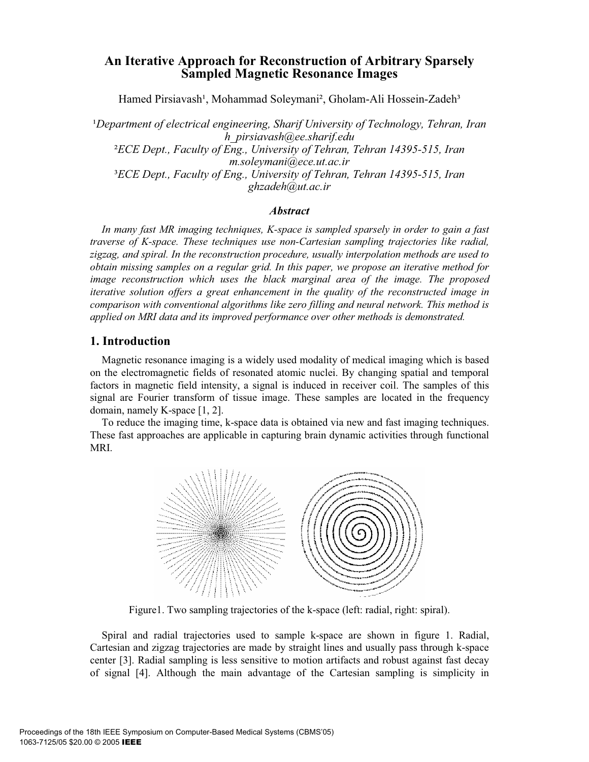# **An Iterative Approach for Reconstruction of Arbitrary Sparsely Sampled Magnetic Resonance Images**

Hamed Pirsiavash<sup>1</sup>, Mohammad Soleymani<sup>2</sup>, Gholam-Ali Hossein-Zadeh<sup>3</sup>

*<sup>1</sup>Department of electrical engineering, Sharif University of Technology, Tehran, Iran h\_pirsiavash@ee.sharif.edu* ²*ECE Dept., Faculty of Eng., University of Tehran, Tehran 14395-515, Iran m.soleymani@ece.ut.ac.ir*  ³*ECE Dept., Faculty of Eng., University of Tehran, Tehran 14395-515, Iran ghzadeh@ut.ac.ir*

#### *Abstract*

*In many fast MR imaging techniques, K-space is sampled sparsely in order to gain a fast traverse of K-space. These techniques use non-Cartesian sampling trajectories like radial, zigzag, and spiral. In the reconstruction procedure, usually interpolation methods are used to obtain missing samples on a regular grid. In this paper, we propose an iterative method for image reconstruction which uses the black marginal area of the image. The proposed iterative solution offers a great enhancement in the quality of the reconstructed image in comparison with conventional algorithms like zero filling and neural network. This method is applied on MRI data and its improved performance over other methods is demonstrated.* 

## **1. Introduction**

Magnetic resonance imaging is a widely used modality of medical imaging which is based on the electromagnetic fields of resonated atomic nuclei. By changing spatial and temporal factors in magnetic field intensity, a signal is induced in receiver coil. The samples of this signal are Fourier transform of tissue image. These samples are located in the frequency domain, namely K-space [1, 2].

To reduce the imaging time, k-space data is obtained via new and fast imaging techniques. These fast approaches are applicable in capturing brain dynamic activities through functional MRI.



Figure1. Two sampling trajectories of the k-space (left: radial, right: spiral).

Spiral and radial trajectories used to sample k-space are shown in figure 1. Radial, Cartesian and zigzag trajectories are made by straight lines and usually pass through k-space center [3]. Radial sampling is less sensitive to motion artifacts and robust against fast decay of signal [4]. Although the main advantage of the Cartesian sampling is simplicity in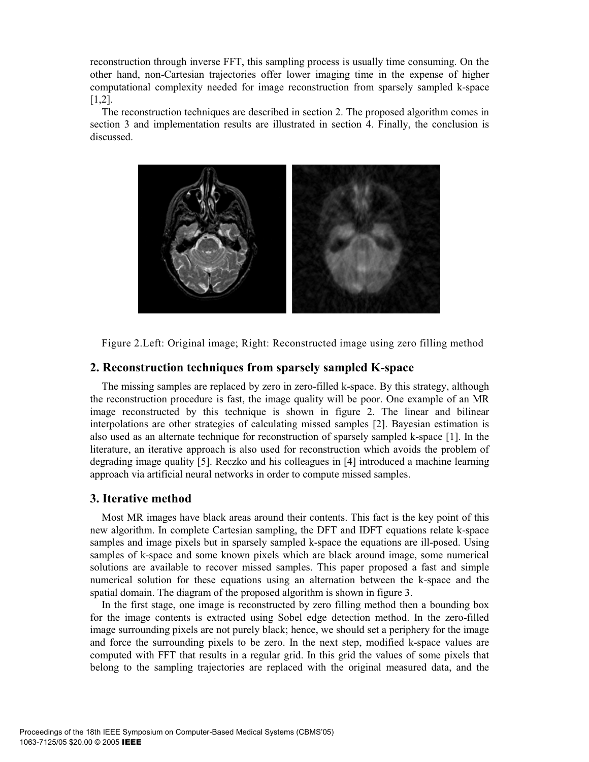reconstruction through inverse FFT, this sampling process is usually time consuming. On the other hand, non-Cartesian trajectories offer lower imaging time in the expense of higher computational complexity needed for image reconstruction from sparsely sampled k-space [1,2].

The reconstruction techniques are described in section 2. The proposed algorithm comes in section 3 and implementation results are illustrated in section 4. Finally, the conclusion is discussed.



Figure 2.Left: Original image; Right: Reconstructed image using zero filling method

## **2. Reconstruction techniques from sparsely sampled K-space**

The missing samples are replaced by zero in zero-filled k-space. By this strategy, although the reconstruction procedure is fast, the image quality will be poor. One example of an MR image reconstructed by this technique is shown in figure 2. The linear and bilinear interpolations are other strategies of calculating missed samples [2]. Bayesian estimation is also used as an alternate technique for reconstruction of sparsely sampled k-space [1]. In the literature, an iterative approach is also used for reconstruction which avoids the problem of degrading image quality [5]. Reczko and his colleagues in [4] introduced a machine learning approach via artificial neural networks in order to compute missed samples.

### **3. Iterative method**

Most MR images have black areas around their contents. This fact is the key point of this new algorithm. In complete Cartesian sampling, the DFT and IDFT equations relate k-space samples and image pixels but in sparsely sampled k-space the equations are ill-posed. Using samples of k-space and some known pixels which are black around image, some numerical solutions are available to recover missed samples. This paper proposed a fast and simple numerical solution for these equations using an alternation between the k-space and the spatial domain. The diagram of the proposed algorithm is shown in figure 3.

In the first stage, one image is reconstructed by zero filling method then a bounding box for the image contents is extracted using Sobel edge detection method. In the zero-filled image surrounding pixels are not purely black; hence, we should set a periphery for the image and force the surrounding pixels to be zero. In the next step, modified k-space values are computed with FFT that results in a regular grid. In this grid the values of some pixels that belong to the sampling trajectories are replaced with the original measured data, and the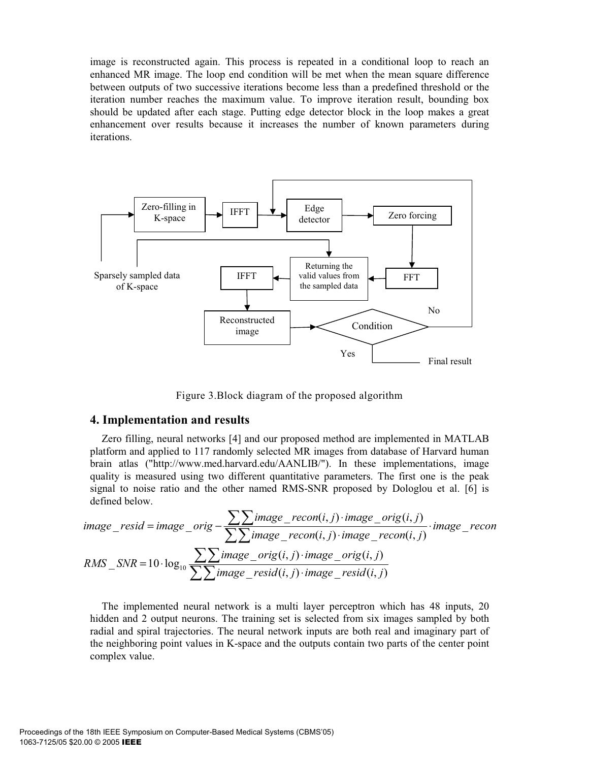image is reconstructed again. This process is repeated in a conditional loop to reach an enhanced MR image. The loop end condition will be met when the mean square difference between outputs of two successive iterations become less than a predefined threshold or the iteration number reaches the maximum value. To improve iteration result, bounding box should be updated after each stage. Putting edge detector block in the loop makes a great enhancement over results because it increases the number of known parameters during iterations.



Figure 3.Block diagram of the proposed algorithm

#### **4. Implementation and results**

Zero filling, neural networks [4] and our proposed method are implemented in MATLAB platform and applied to 117 randomly selected MR images from database of Harvard human brain atlas ("http://www.med.harvard.edu/AANLIB/"). In these implementations, image quality is measured using two different quantitative parameters. The first one is the peak signal to noise ratio and the other named RMS-SNR proposed by Dologlou et al. [6] is defined below.

$$
image\_resid = image\_orig - \frac{\sum \sum image\_recon(i,j) \cdot image\_orig(i,j)}{\sum \sum image\_recon(i,j) \cdot image\_recon(i,j)} \cdot image\_recon
$$
  
RMS\\_SNR = 10·log<sub>10</sub> 
$$
\frac{\sum \sum image\_orig(i,j) \cdot image\_orig(i,j)}{\sum \sum image\_resid(i,j) \cdot image\_resid(i,j)}
$$

The implemented neural network is a multi layer perceptron which has 48 inputs, 20 hidden and 2 output neurons. The training set is selected from six images sampled by both radial and spiral trajectories. The neural network inputs are both real and imaginary part of the neighboring point values in K-space and the outputs contain two parts of the center point complex value.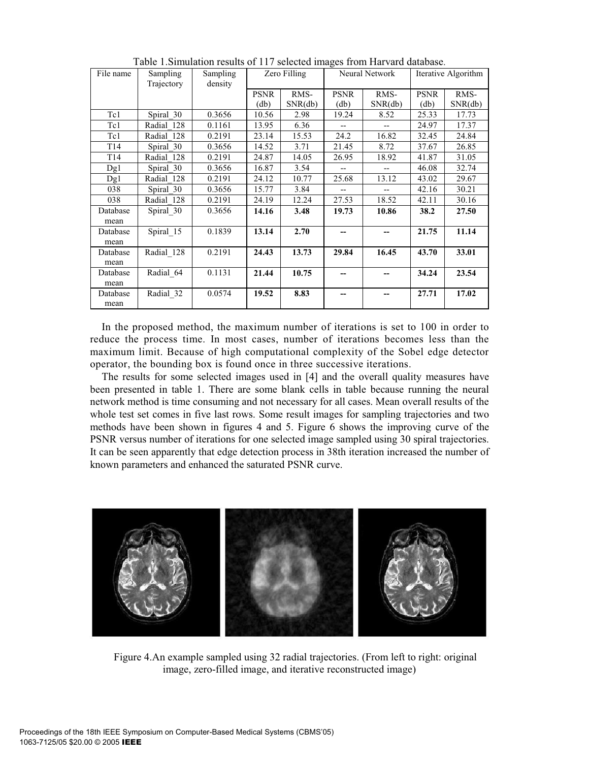| File name        | Sampling   | Sampling | Zero Filling |         | Neural Network |         | Iterative Algorithm |         |
|------------------|------------|----------|--------------|---------|----------------|---------|---------------------|---------|
|                  | Trajectory | density  |              |         |                |         |                     |         |
|                  |            |          | <b>PSNR</b>  | RMS-    | <b>PSNR</b>    | RMS-    | <b>PSNR</b>         | RMS-    |
|                  |            |          | (db)         | SNR(db) | (db)           | SNR(db) | (db)                | SNR(db) |
| Tc1              | Spiral 30  | 0.3656   | 10.56        | 2.98    | 19.24          | 8.52    | 25.33               | 17.73   |
| Tc1              | Radial 128 | 0.1161   | 13.95        | 6.36    |                |         | 24.97               | 17.37   |
| Tc1              | Radial 128 | 0.2191   | 23.14        | 15.53   | 24.2           | 16.82   | 32.45               | 24.84   |
| T <sub>14</sub>  | Spiral 30  | 0.3656   | 14.52        | 3.71    | 21.45          | 8.72    | 37.67               | 26.85   |
| T <sub>14</sub>  | Radial 128 | 0.2191   | 24.87        | 14.05   | 26.95          | 18.92   | 41.87               | 31.05   |
| Dg1              | Spiral 30  | 0.3656   | 16.87        | 3.54    | $- -$          | $- -$   | 46.08               | 32.74   |
| Dg1              | Radial 128 | 0.2191   | 24.12        | 10.77   | 25.68          | 13.12   | 43.02               | 29.67   |
| 038              | Spiral 30  | 0.3656   | 15.77        | 3.84    |                |         | 42.16               | 30.21   |
| 038              | Radial 128 | 0.2191   | 24.19        | 12.24   | 27.53          | 18.52   | 42.11               | 30.16   |
| Database         | Spiral 30  | 0.3656   | 14.16        | 3.48    | 19.73          | 10.86   | 38.2                | 27.50   |
| mean             |            |          |              |         |                |         |                     |         |
| Database<br>mean | Spiral 15  | 0.1839   | 13.14        | 2.70    |                |         | 21.75               | 11.14   |
| Database         | Radial 128 | 0.2191   | 24.43        | 13.73   | 29.84          | 16.45   | 43.70               | 33.01   |
| mean             |            |          |              |         |                |         |                     |         |
| Database<br>mean | Radial 64  | 0.1131   | 21.44        | 10.75   |                |         | 34.24               | 23.54   |
|                  |            |          |              |         |                |         |                     |         |
| Database         | Radial 32  | 0.0574   | 19.52        | 8.83    | --             | --      | 27.71               | 17.02   |
| mean             |            |          |              |         |                |         |                     |         |

Table 1.Simulation results of 117 selected images from Harvard database.

In the proposed method, the maximum number of iterations is set to 100 in order to reduce the process time. In most cases, number of iterations becomes less than the maximum limit. Because of high computational complexity of the Sobel edge detector operator, the bounding box is found once in three successive iterations.

The results for some selected images used in [4] and the overall quality measures have been presented in table 1. There are some blank cells in table because running the neural network method is time consuming and not necessary for all cases. Mean overall results of the whole test set comes in five last rows. Some result images for sampling trajectories and two methods have been shown in figures 4 and 5. Figure 6 shows the improving curve of the PSNR versus number of iterations for one selected image sampled using 30 spiral trajectories. It can be seen apparently that edge detection process in 38th iteration increased the number of known parameters and enhanced the saturated PSNR curve.



Figure 4.An example sampled using 32 radial trajectories. (From left to right: original image, zero-filled image, and iterative reconstructed image)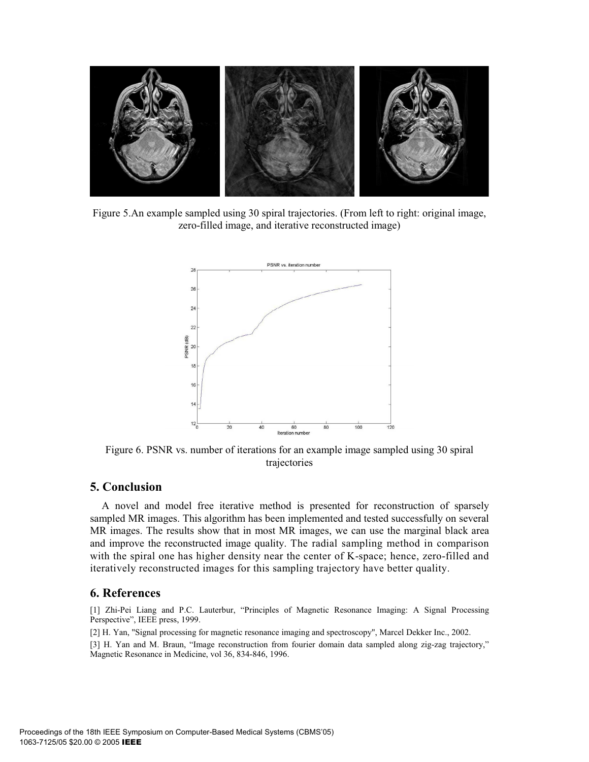

Figure 5.An example sampled using 30 spiral trajectories. (From left to right: original image, zero-filled image, and iterative reconstructed image)



Figure 6. PSNR vs. number of iterations for an example image sampled using 30 spiral trajectories

### **5. Conclusion**

A novel and model free iterative method is presented for reconstruction of sparsely sampled MR images. This algorithm has been implemented and tested successfully on several MR images. The results show that in most MR images, we can use the marginal black area and improve the reconstructed image quality. The radial sampling method in comparison with the spiral one has higher density near the center of K-space; hence, zero-filled and iteratively reconstructed images for this sampling trajectory have better quality.

## **6. References**

[1] Zhi-Pei Liang and P.C. Lauterbur, "Principles of Magnetic Resonance Imaging: A Signal Processing Perspective", IEEE press, 1999.

[2] H. Yan, "Signal processing for magnetic resonance imaging and spectroscopy", Marcel Dekker Inc., 2002. [3] H. Yan and M. Braun, "Image reconstruction from fourier domain data sampled along zig-zag trajectory," Magnetic Resonance in Medicine, vol 36, 834-846, 1996.